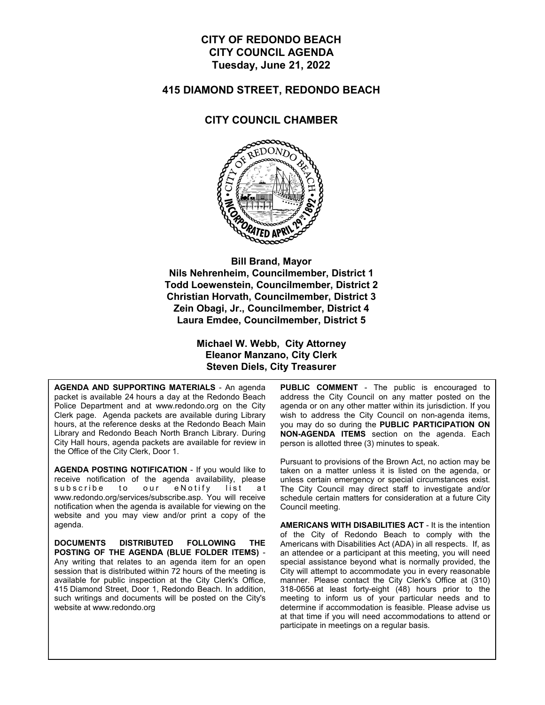### **CITY OF REDONDO BEACH CITY COUNCIL AGENDA Tuesday, June 21, 2022**

#### **415 DIAMOND STREET, REDONDO BEACH**

#### **CITY COUNCIL CHAMBER**



**Bill Brand, Mayor Nils Nehrenheim, Councilmember, District 1 Todd Loewenstein, Councilmember, District 2 Christian Horvath, Councilmember, District 3 Zein Obagi, Jr., Councilmember, District 4 Laura Emdee, Councilmember, District 5**

> **Michael W. Webb, City Attorney Eleanor Manzano, City Clerk Steven Diels, City Treasurer**

**AGENDA AND SUPPORTING MATERIALS** - An agenda packet is available 24 hours a day at the Redondo Beach Police Department and at www.redondo.org on the City Clerk page. Agenda packets are available during Library hours, at the reference desks at the Redondo Beach Main Library and Redondo Beach North Branch Library. During City Hall hours, agenda packets are available for review in the Office of the City Clerk, Door 1.

**AGENDA POSTING NOTIFICATION** - If you would like to receive notification of the agenda availability, please subscribe to our eNotify list at www.redondo.org/services/subscribe.asp. You will receive notification when the agenda is available for viewing on the website and you may view and/or print a copy of the agenda.

**DOCUMENTS DISTRIBUTED FOLLOWING THE POSTING OF THE AGENDA (BLUE FOLDER ITEMS)** - Any writing that relates to an agenda item for an open session that is distributed within 72 hours of the meeting is available for public inspection at the City Clerk's Office, 415 Diamond Street, Door 1, Redondo Beach. In addition, such writings and documents will be posted on the City's website at www.redondo.org

**PUBLIC COMMENT** - The public is encouraged to address the City Council on any matter posted on the agenda or on any other matter within its jurisdiction. If you wish to address the City Council on non-agenda items, you may do so during the **PUBLIC PARTICIPATION ON NON-AGENDA ITEMS** section on the agenda. Each person is allotted three (3) minutes to speak.

Pursuant to provisions of the Brown Act, no action may be taken on a matter unless it is listed on the agenda, or unless certain emergency or special circumstances exist. The City Council may direct staff to investigate and/or schedule certain matters for consideration at a future City Council meeting.

**AMERICANS WITH DISABILITIES ACT** - It is the intention of the City of Redondo Beach to comply with the Americans with Disabilities Act (ADA) in all respects. If, as an attendee or a participant at this meeting, you will need special assistance beyond what is normally provided, the City will attempt to accommodate you in every reasonable manner. Please contact the City Clerk's Office at (310) 318-0656 at least forty-eight (48) hours prior to the meeting to inform us of your particular needs and to determine if accommodation is feasible. Please advise us at that time if you will need accommodations to attend or participate in meetings on a regular basis.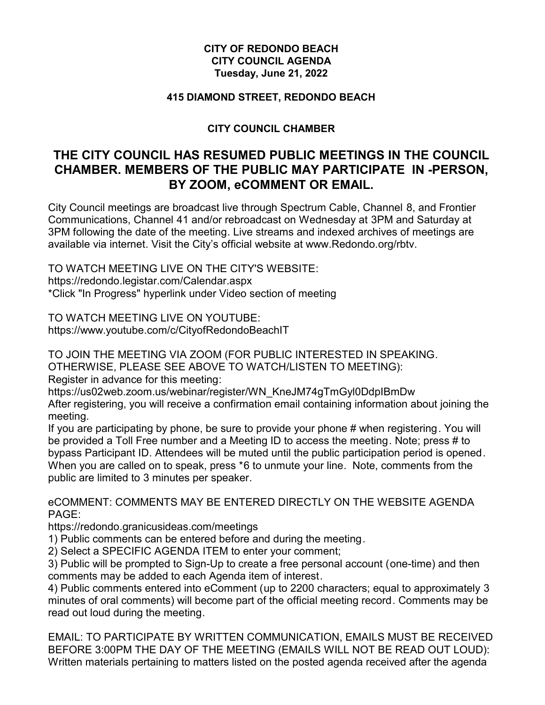### **CITY OF REDONDO BEACH CITY COUNCIL AGENDA Tuesday, June 21, 2022**

#### **415 DIAMOND STREET, REDONDO BEACH**

### **CITY COUNCIL CHAMBER**

# **THE CITY COUNCIL HAS RESUMED PUBLIC MEETINGS IN THE COUNCIL CHAMBER. MEMBERS OF THE PUBLIC MAY PARTICIPATE IN -PERSON, BY ZOOM, eCOMMENT OR EMAIL.**

City Council meetings are broadcast live through Spectrum Cable, Channel 8, and Frontier Communications, Channel 41 and/or rebroadcast on Wednesday at 3PM and Saturday at 3PM following the date of the meeting. Live streams and indexed archives of meetings are available via internet. Visit the City's official website at www.Redondo.org/rbtv.

TO WATCH MEETING LIVE ON THE CITY'S WEBSITE: https://redondo.legistar.com/Calendar.aspx \*Click "In Progress" hyperlink under Video section of meeting

TO WATCH MEETING LIVE ON YOUTUBE: https://www.youtube.com/c/CityofRedondoBeachIT

TO JOIN THE MEETING VIA ZOOM (FOR PUBLIC INTERESTED IN SPEAKING. OTHERWISE, PLEASE SEE ABOVE TO WATCH/LISTEN TO MEETING):

Register in advance for this meeting:

https://us02web.zoom.us/webinar/register/WN\_KneJM74gTmGyl0DdpIBmDw

After registering, you will receive a confirmation email containing information about joining the meeting.

If you are participating by phone, be sure to provide your phone # when registering. You will be provided a Toll Free number and a Meeting ID to access the meeting. Note; press # to bypass Participant ID. Attendees will be muted until the public participation period is opened. When you are called on to speak, press \*6 to unmute your line. Note, comments from the public are limited to 3 minutes per speaker.

eCOMMENT: COMMENTS MAY BE ENTERED DIRECTLY ON THE WEBSITE AGENDA PAGE:

https://redondo.granicusideas.com/meetings

1) Public comments can be entered before and during the meeting.

2) Select a SPECIFIC AGENDA ITEM to enter your comment;

3) Public will be prompted to Sign-Up to create a free personal account (one-time) and then comments may be added to each Agenda item of interest.

4) Public comments entered into eComment (up to 2200 characters; equal to approximately 3 minutes of oral comments) will become part of the official meeting record. Comments may be read out loud during the meeting.

EMAIL: TO PARTICIPATE BY WRITTEN COMMUNICATION, EMAILS MUST BE RECEIVED BEFORE 3:00PM THE DAY OF THE MEETING (EMAILS WILL NOT BE READ OUT LOUD): Written materials pertaining to matters listed on the posted agenda received after the agenda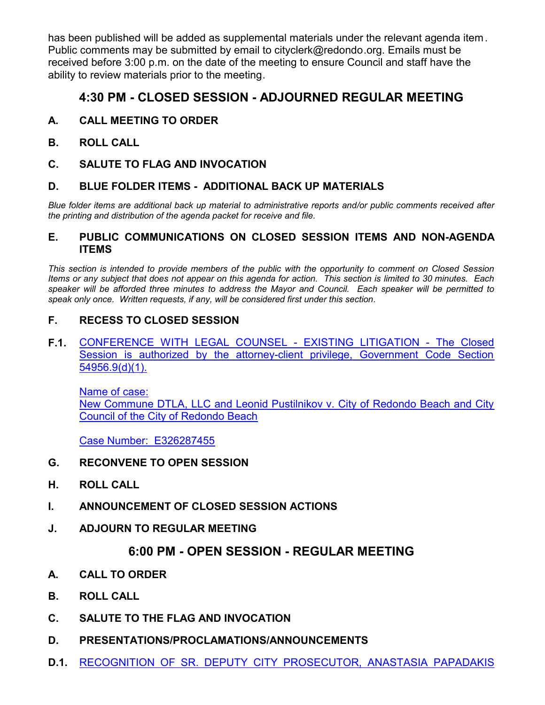has been published will be added as supplemental materials under the relevant agenda item. Public comments may be submitted by email to cityclerk@redondo.org. Emails must be received before 3:00 p.m. on the date of the meeting to ensure Council and staff have the ability to review materials prior to the meeting.

# **4:30 PM - CLOSED SESSION - ADJOURNED REGULAR MEETING**

### **A. CALL MEETING TO ORDER**

- **B. ROLL CALL**
- **C. SALUTE TO FLAG AND INVOCATION**

### **D. BLUE FOLDER ITEMS - ADDITIONAL BACK UP MATERIALS**

*Blue folder items are additional back up material to administrative reports and/or public comments received after the printing and distribution of the agenda packet for receive and file.*

#### **E. PUBLIC COMMUNICATIONS ON CLOSED SESSION ITEMS AND NON-AGENDA ITEMS**

*This section is intended to provide members of the public with the opportunity to comment on Closed Session Items or any subject that does not appear on this agenda for action. This section is limited to 30 minutes. Each speaker will be afforded three minutes to address the Mayor and Council. Each speaker will be permitted to speak only once. Written requests, if any, will be considered first under this section.*

### **F. RECESS TO CLOSED SESSION**

**F.1.** [CONFERENCE WITH LEGAL COUNSEL - EXISTING LITIGATION - The Closed](http://redondo.legistar.com/gateway.aspx?m=l&id=/matter.aspx?key=5904) Session is authorized by the attorney-client privilege, Government Code Section 54956.9(d)(1).

Name of case: New Commune DTLA, LLC and Leonid Pustilnikov v. City of Redondo Beach and City Council of the City of Redondo Beach

Case Number: E326287455

### **G. RECONVENE TO OPEN SESSION**

- **H. ROLL CALL**
- **I. ANNOUNCEMENT OF CLOSED SESSION ACTIONS**
- **J. ADJOURN TO REGULAR MEETING**

## **6:00 PM - OPEN SESSION - REGULAR MEETING**

- **A. CALL TO ORDER**
- **B. ROLL CALL**
- **C. SALUTE TO THE FLAG AND INVOCATION**
- **D. PRESENTATIONS/PROCLAMATIONS/ANNOUNCEMENTS**
- **D.1.** [RECOGNITION OF SR. DEPUTY CITY PROSECUTOR, ANASTASIA PAPADAKIS](http://redondo.legistar.com/gateway.aspx?m=l&id=/matter.aspx?key=5880)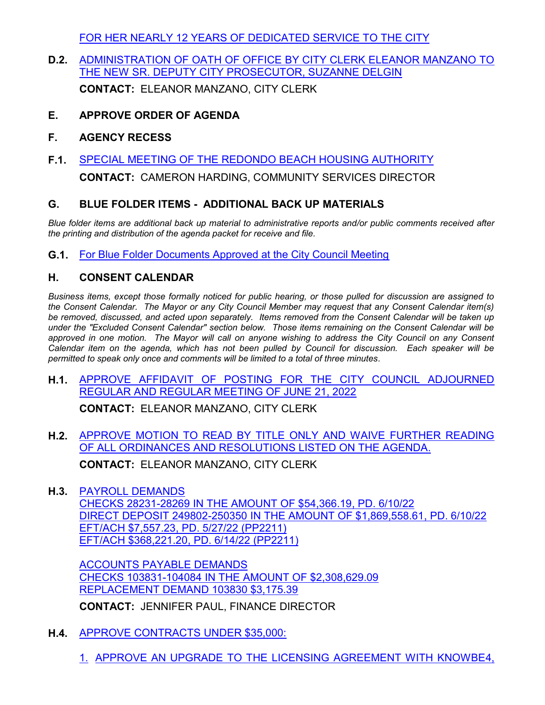[FOR HER NEARLY 12 YEARS OF DEDICATED SERVICE TO THE CITY](http://redondo.legistar.com/gateway.aspx?m=l&id=/matter.aspx?key=5880)

**D.2.** [ADMINISTRATION OF OATH OF OFFICE BY CITY CLERK ELEANOR MANZANO TO](http://redondo.legistar.com/gateway.aspx?m=l&id=/matter.aspx?key=5782) THE NEW SR. DEPUTY CITY PROSECUTOR, SUZANNE DELGIN

**CONTACT:** ELEANOR MANZANO, CITY CLERK

- **E. APPROVE ORDER OF AGENDA**
- **F. AGENCY RECESS**
- **F.1.** [SPECIAL MEETING OF THE REDONDO BEACH HOUSING AUTHORITY](http://redondo.legistar.com/gateway.aspx?m=l&id=/matter.aspx?key=5853)

**CONTACT:** CAMERON HARDING, COMMUNITY SERVICES DIRECTOR

### **G. BLUE FOLDER ITEMS - ADDITIONAL BACK UP MATERIALS**

*Blue folder items are additional back up material to administrative reports and/or public comments received after the printing and distribution of the agenda packet for receive and file.*

**G.1.** [For Blue Folder Documents Approved at the City Council Meeting](http://redondo.legistar.com/gateway.aspx?m=l&id=/matter.aspx?key=5873)

## **H. CONSENT CALENDAR**

*Business items, except those formally noticed for public hearing, or those pulled for discussion are assigned to the Consent Calendar. The Mayor or any City Council Member may request that any Consent Calendar item(s) be removed, discussed, and acted upon separately. Items removed from the Consent Calendar will be taken up under the "Excluded Consent Calendar" section below. Those items remaining on the Consent Calendar will be approved in one motion. The Mayor will call on anyone wishing to address the City Council on any Consent Calendar item on the agenda, which has not been pulled by Council for discussion. Each speaker will be permitted to speak only once and comments will be limited to a total of three minutes.*

**H.1.** [APPROVE AFFIDAVIT OF POSTING FOR THE CITY COUNCIL ADJOURNED](http://redondo.legistar.com/gateway.aspx?m=l&id=/matter.aspx?key=5874) REGULAR AND REGULAR MEETING OF JUNE 21, 2022

**CONTACT:** ELEANOR MANZANO, CITY CLERK

**H.2.** [APPROVE MOTION TO READ BY TITLE ONLY AND WAIVE FURTHER READING](http://redondo.legistar.com/gateway.aspx?m=l&id=/matter.aspx?key=5875) OF ALL ORDINANCES AND RESOLUTIONS LISTED ON THE AGENDA.

**CONTACT:** ELEANOR MANZANO, CITY CLERK

**H.3.** PAYROLL DEMANDS

CHECKS 28231-28269 IN THE AMOUNT OF \$54,366.19, PD. 6/10/22 [DIRECT DEPOSIT 249802-250350 IN THE AMOUNT OF \\$1,869,558.61, PD. 6/10/22](http://redondo.legistar.com/gateway.aspx?m=l&id=/matter.aspx?key=5620) EFT/ACH \$7,557.23, PD. 5/27/22 (PP2211) EFT/ACH \$368,221.20, PD. 6/14/22 (PP2211)

ACCOUNTS PAYABLE DEMANDS CHECKS 103831-104084 IN THE AMOUNT OF \$2,308,629.09 REPLACEMENT DEMAND 103830 \$3,175.39

**CONTACT:** JENNIFER PAUL, FINANCE DIRECTOR

- **H.4.** APPROVE CONTRACTS UNDER \$35,000:
	- 1. [APPROVE AN UPGRADE TO THE LICENSING AGREEMENT WITH KNOWBE4,](http://redondo.legistar.com/gateway.aspx?m=l&id=/matter.aspx?key=5602)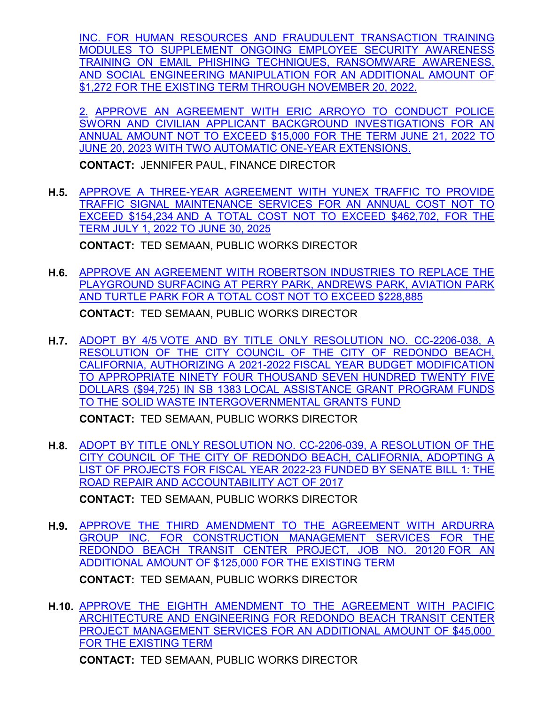[INC. FOR HUMAN RESOURCES AND FRAUDULENT TRANSACTION TRAINING](http://redondo.legistar.com/gateway.aspx?m=l&id=/matter.aspx?key=5602) MODULES TO SUPPLEMENT ONGOING EMPLOYEE SECURITY AWARENESS TRAINING ON EMAIL PHISHING TECHNIQUES, RANSOMWARE AWARENESS, AND SOCIAL ENGINEERING MANIPULATION FOR AN ADDITIONAL AMOUNT OF \$1,272 FOR THE EXISTING TERM THROUGH NOVEMBER 20, 2022.

2. APPROVE AN AGREEMENT WITH ERIC ARROYO TO CONDUCT POLICE SWORN AND CIVILIAN APPLICANT BACKGROUND INVESTIGATIONS FOR AN ANNUAL AMOUNT NOT TO EXCEED \$15,000 FOR THE TERM JUNE 21, 2022 TO JUNE 20, 2023 WITH TWO AUTOMATIC ONE-YEAR EXTENSIONS.

**CONTACT:** JENNIFER PAUL, FINANCE DIRECTOR

**H.5.** [APPROVE A THREE-YEAR AGREEMENT WITH YUNEX TRAFFIC TO PROVIDE](http://redondo.legistar.com/gateway.aspx?m=l&id=/matter.aspx?key=5870) TRAFFIC SIGNAL MAINTENANCE SERVICES FOR AN ANNUAL COST NOT TO EXCEED \$154,234 AND A TOTAL COST NOT TO EXCEED \$462,702, FOR THE TERM JULY 1, 2022 TO JUNE 30, 2025

**CONTACT:** TED SEMAAN, PUBLIC WORKS DIRECTOR

**H.6.** [APPROVE AN AGREEMENT WITH ROBERTSON INDUSTRIES TO REPLACE THE](http://redondo.legistar.com/gateway.aspx?m=l&id=/matter.aspx?key=5877) PLAYGROUND SURFACING AT PERRY PARK, ANDREWS PARK, AVIATION PARK AND TURTLE PARK FOR A TOTAL COST NOT TO EXCEED \$228,885

**CONTACT:** TED SEMAAN, PUBLIC WORKS DIRECTOR

**H.7.** [ADOPT BY 4/5 VOTE AND BY TITLE ONLY RESOLUTION NO. CC-2206-038, A](http://redondo.legistar.com/gateway.aspx?m=l&id=/matter.aspx?key=5799) RESOLUTION OF THE CITY COUNCIL OF THE CITY OF REDONDO BEACH, CALIFORNIA, AUTHORIZING A 2021-2022 FISCAL YEAR BUDGET MODIFICATION TO APPROPRIATE NINETY FOUR THOUSAND SEVEN HUNDRED TWENTY FIVE DOLLARS (\$94,725) IN SB 1383 LOCAL ASSISTANCE GRANT PROGRAM FUNDS TO THE SOLID WASTE INTERGOVERNMENTAL GRANTS FUND

**CONTACT:** TED SEMAAN, PUBLIC WORKS DIRECTOR

**H.8.** [ADOPT BY TITLE ONLY RESOLUTION NO. CC-2206-039, A RESOLUTION OF THE](http://redondo.legistar.com/gateway.aspx?m=l&id=/matter.aspx?key=5777) CITY COUNCIL OF THE CITY OF REDONDO BEACH, CALIFORNIA, ADOPTING A LIST OF PROJECTS FOR FISCAL YEAR 2022-23 FUNDED BY SENATE BILL 1: THE ROAD REPAIR AND ACCOUNTABILITY ACT OF 2017 **CONTACT:** TED SEMAAN, PUBLIC WORKS DIRECTOR

**H.9.** [APPROVE THE THIRD AMENDMENT TO THE AGREEMENT WITH ARDURRA](http://redondo.legistar.com/gateway.aspx?m=l&id=/matter.aspx?key=5895)

GROUP INC. FOR CONSTRUCTION MANAGEMENT SERVICES FOR THE REDONDO BEACH TRANSIT CENTER PROJECT, JOB NO. 20120 FOR AN ADDITIONAL AMOUNT OF \$125,000 FOR THE EXISTING TERM

**CONTACT:** TED SEMAAN, PUBLIC WORKS DIRECTOR

**H.10.** [APPROVE THE EIGHTH AMENDMENT TO THE AGREEMENT WITH PACIFIC](http://redondo.legistar.com/gateway.aspx?m=l&id=/matter.aspx?key=5896) ARCHITECTURE AND ENGINEERING FOR REDONDO BEACH TRANSIT CENTER PROJECT MANAGEMENT SERVICES FOR AN ADDITIONAL AMOUNT OF \$45,000 FOR THE EXISTING TERM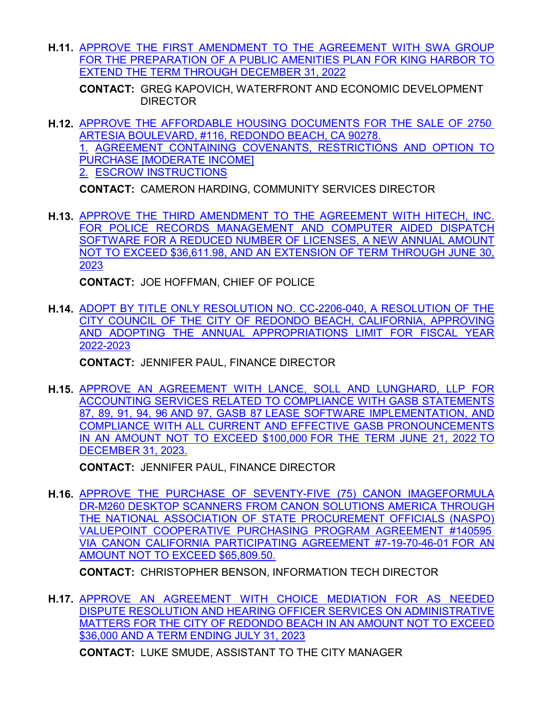**H.11.** [APPROVE THE FIRST AMENDMENT TO THE AGREEMENT WITH SWA GROUP](http://redondo.legistar.com/gateway.aspx?m=l&id=/matter.aspx?key=5780) FOR THE PREPARATION OF A PUBLIC AMENITIES PLAN FOR KING HARBOR TO EXTEND THE TERM THROUGH DECEMBER 31, 2022

**CONTACT: GREG KAPOVICH, WATERFRONT AND ECONOMIC DEVELOPMENT** DIRECTOR

**H.12.** [APPROVE THE AFFORDABLE HOUSING DOCUMENTS FOR THE SALE OF 2750](http://redondo.legistar.com/gateway.aspx?m=l&id=/matter.aspx?key=5852)  ARTESIA BOULEVARD, #116, REDONDO BEACH, CA 90278. 1. AGREEMENT CONTAINING COVENANTS, RESTRICTIONS AND OPTION TO PURCHASE [MODERATE INCOME] 2. ESCROW INSTRUCTIONS

**CONTACT:** CAMERON HARDING, COMMUNITY SERVICES DIRECTOR

**H.13.** [APPROVE THE THIRD AMENDMENT TO THE AGREEMENT WITH HITECH, INC.](http://redondo.legistar.com/gateway.aspx?m=l&id=/matter.aspx?key=5878) FOR POLICE RECORDS MANAGEMENT AND COMPUTER AIDED DISPATCH SOFTWARE FOR A REDUCED NUMBER OF LICENSES, A NEW ANNUAL AMOUNT NOT TO EXCEED \$36,611.98, AND AN EXTENSION OF TERM THROUGH JUNE 30, 2023

**CONTACT:** JOE HOFFMAN, CHIEF OF POLICE

**H.14.** [ADOPT BY TITLE ONLY RESOLUTION NO. CC-2206-040, A RESOLUTION OF THE](http://redondo.legistar.com/gateway.aspx?m=l&id=/matter.aspx?key=5723) CITY COUNCIL OF THE CITY OF REDONDO BEACH, CALIFORNIA, APPROVING AND ADOPTING THE ANNUAL APPROPRIATIONS LIMIT FOR FISCAL YEAR 2022-2023

**CONTACT:** JENNIFER PAUL, FINANCE DIRECTOR

**H.15.** [APPROVE AN AGREEMENT WITH LANCE, SOLL AND LUNGHARD, LLP FOR](http://redondo.legistar.com/gateway.aspx?m=l&id=/matter.aspx?key=5684) ACCOUNTING SERVICES RELATED TO COMPLIANCE WITH GASB STATEMENTS 87, 89, 91, 94, 96 AND 97, GASB 87 LEASE SOFTWARE IMPLEMENTATION, AND COMPLIANCE WITH ALL CURRENT AND EFFECTIVE GASB PRONOUNCEMENTS IN AN AMOUNT NOT TO EXCEED \$100,000 FOR THE TERM JUNE 21, 2022 TO DECEMBER 31, 2023.

**CONTACT:** JENNIFER PAUL, FINANCE DIRECTOR

**H.16.** [APPROVE THE PURCHASE OF SEVENTY-FIVE \(75\) CANON IMAGEFORMULA](http://redondo.legistar.com/gateway.aspx?m=l&id=/matter.aspx?key=5879) DR-M260 DESKTOP SCANNERS FROM CANON SOLUTIONS AMERICA THROUGH THE NATIONAL ASSOCIATION OF STATE PROCUREMENT OFFICIALS (NASPO) VALUEPOINT COOPERATIVE PURCHASING PROGRAM AGREEMENT #140595 VIA CANON CALIFORNIA PARTICIPATING AGREEMENT #7-19-70-46-01 FOR AN AMOUNT NOT TO EXCEED \$65,809.50.

**CONTACT:** CHRISTOPHER BENSON, INFORMATION TECH DIRECTOR

**H.17.** [APPROVE AN AGREEMENT WITH CHOICE MEDIATION FOR AS NEEDED](http://redondo.legistar.com/gateway.aspx?m=l&id=/matter.aspx?key=5886) DISPUTE RESOLUTION AND HEARING OFFICER SERVICES ON ADMINISTRATIVE MATTERS FOR THE CITY OF REDONDO BEACH IN AN AMOUNT NOT TO EXCEED \$36,000 AND A TERM ENDING JULY 31, 2023

**CONTACT:** LUKE SMUDE, ASSISTANT TO THE CITY MANAGER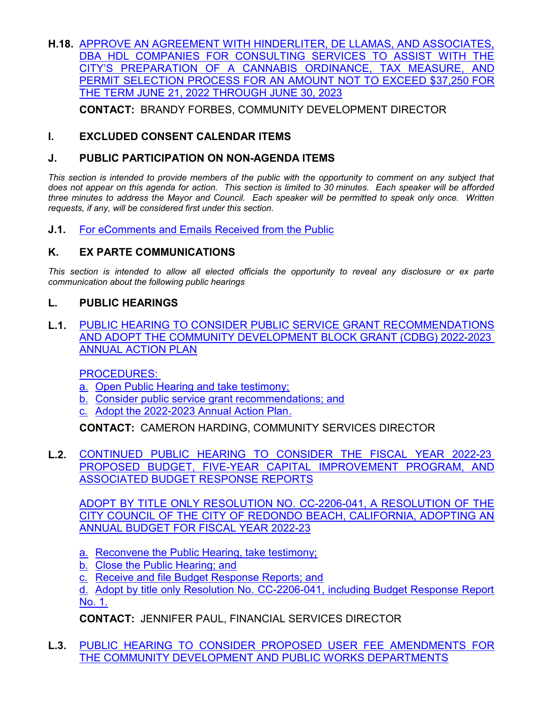**H.18.** [APPROVE AN AGREEMENT WITH HINDERLITER, DE LLAMAS, AND ASSOCIATES,](http://redondo.legistar.com/gateway.aspx?m=l&id=/matter.aspx?key=5887) DBA HDL COMPANIES FOR CONSULTING SERVICES TO ASSIST WITH THE CITY'S PREPARATION OF A CANNABIS ORDINANCE, TAX MEASURE, AND PERMIT SELECTION PROCESS FOR AN AMOUNT NOT TO EXCEED \$37,250 FOR THE TERM JUNE 21, 2022 THROUGH JUNE 30, 2023

**CONTACT:** BRANDY FORBES, COMMUNITY DEVELOPMENT DIRECTOR

## **I. EXCLUDED CONSENT CALENDAR ITEMS**

### **J. PUBLIC PARTICIPATION ON NON-AGENDA ITEMS**

This section is intended to provide members of the public with the opportunity to comment on any subject that *does not appear on this agenda for action. This section is limited to 30 minutes. Each speaker will be afforded three minutes to address the Mayor and Council. Each speaker will be permitted to speak only once. Written requests, if any, will be considered first under this section.*

**J.1.** [For eComments and Emails Received from the Public](http://redondo.legistar.com/gateway.aspx?m=l&id=/matter.aspx?key=5876)

### **K. EX PARTE COMMUNICATIONS**

*This section is intended to allow all elected officials the opportunity to reveal any disclosure or ex parte communication about the following public hearings*

### **L. PUBLIC HEARINGS**

**L.1.** [PUBLIC HEARING TO CONSIDER PUBLIC SERVICE GRANT RECOMMENDATIONS](http://redondo.legistar.com/gateway.aspx?m=l&id=/matter.aspx?key=5856) AND ADOPT THE COMMUNITY DEVELOPMENT BLOCK GRANT (CDBG) 2022-2023 ANNUAL ACTION PLAN

PROCEDURES:

- a. Open Public Hearing and take testimony;
- b. Consider public service grant recommendations; and
- c. Adopt the 2022-2023 Annual Action Plan.

**CONTACT:** CAMERON HARDING, COMMUNITY SERVICES DIRECTOR

**L.2.** [CONTINUED PUBLIC HEARING TO CONSIDER THE FISCAL YEAR 2022-23](http://redondo.legistar.com/gateway.aspx?m=l&id=/matter.aspx?key=5902)  PROPOSED BUDGET, FIVE-YEAR CAPITAL IMPROVEMENT PROGRAM, AND ASSOCIATED BUDGET RESPONSE REPORTS

ADOPT BY TITLE ONLY RESOLUTION NO. CC-2206-041, A RESOLUTION OF THE CITY COUNCIL OF THE CITY OF REDONDO BEACH, CALIFORNIA, ADOPTING AN ANNUAL BUDGET FOR FISCAL YEAR 2022-23

- a. Reconvene the Public Hearing, take testimony;
- b. Close the Public Hearing; and
- c. Receive and file Budget Response Reports; and

d. Adopt by title only Resolution No. CC-2206-041, including Budget Response Report No. 1.

**CONTACT:** JENNIFER PAUL, FINANCIAL SERVICES DIRECTOR

**L.3.** [PUBLIC HEARING TO CONSIDER PROPOSED USER FEE AMENDMENTS FOR](http://redondo.legistar.com/gateway.aspx?m=l&id=/matter.aspx?key=5850) THE COMMUNITY DEVELOPMENT AND PUBLIC WORKS DEPARTMENTS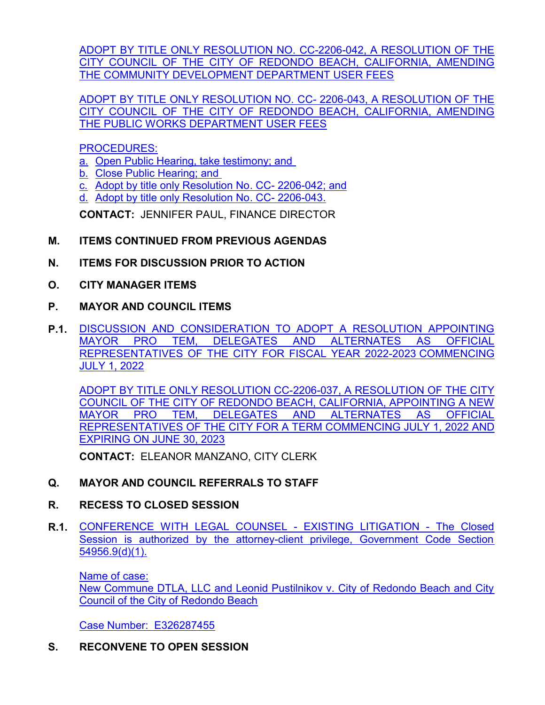[ADOPT BY TITLE ONLY RESOLUTION NO. CC-2206-042, A RESOLUTION OF THE](http://redondo.legistar.com/gateway.aspx?m=l&id=/matter.aspx?key=5850) CITY COUNCIL OF THE CITY OF REDONDO BEACH, CALIFORNIA, AMENDING THE COMMUNITY DEVELOPMENT DEPARTMENT USER FEES

ADOPT BY TITLE ONLY RESOLUTION NO. CC- 2206-043, A RESOLUTION OF THE CITY COUNCIL OF THE CITY OF REDONDO BEACH, CALIFORNIA, AMENDING THE PUBLIC WORKS DEPARTMENT USER FEES

PROCEDURES:

- a. Open Public Hearing, take testimony; and
- b. Close Public Hearing; and
- c. Adopt by title only Resolution No. CC- 2206-042; and
- d. Adopt by title only Resolution No. CC- 2206-043.

**CONTACT:** JENNIFER PAUL, FINANCE DIRECTOR

## **M. ITEMS CONTINUED FROM PREVIOUS AGENDAS**

- **N. ITEMS FOR DISCUSSION PRIOR TO ACTION**
- **O. CITY MANAGER ITEMS**
- **P. MAYOR AND COUNCIL ITEMS**
- **P.1.** [DISCUSSION AND CONSIDERATION TO ADOPT A RESOLUTION APPOINTING](http://redondo.legistar.com/gateway.aspx?m=l&id=/matter.aspx?key=5811) MAYOR PRO TEM, DELEGATES AND ALTERNATES AS OFFICIAL REPRESENTATIVES OF THE CITY FOR FISCAL YEAR 2022-2023 COMMENCING JULY 1, 2022

ADOPT BY TITLE ONLY RESOLUTION CC-2206-037, A RESOLUTION OF THE CITY COUNCIL OF THE CITY OF REDONDO BEACH, CALIFORNIA, APPOINTING A NEW MAYOR PRO TEM, DELEGATES AND ALTERNATES AS OFFICIAL REPRESENTATIVES OF THE CITY FOR A TERM COMMENCING JULY 1, 2022 AND EXPIRING ON JUNE 30, 2023

**CONTACT:** ELEANOR MANZANO, CITY CLERK

## **Q. MAYOR AND COUNCIL REFERRALS TO STAFF**

## **R. RECESS TO CLOSED SESSION**

**R.1.** [CONFERENCE WITH LEGAL COUNSEL - EXISTING LITIGATION - The Closed](http://redondo.legistar.com/gateway.aspx?m=l&id=/matter.aspx?key=5904) Session is authorized by the attorney-client privilege, Government Code Section 54956.9(d)(1).

Name of case: New Commune DTLA, LLC and Leonid Pustilnikov v. City of Redondo Beach and City Council of the City of Redondo Beach

Case Number: E326287455

**S. RECONVENE TO OPEN SESSION**